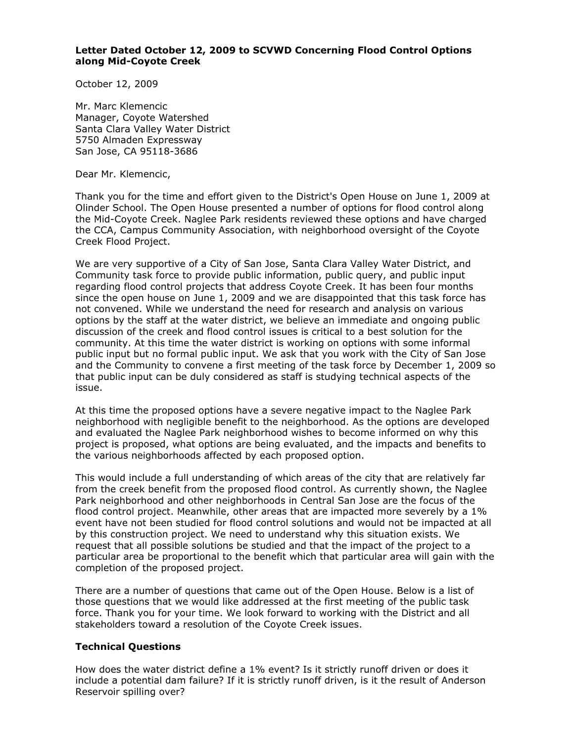## **Letter Dated October 12, 2009 to SCVWD Concerning Flood Control Options along Mid-Coyote Creek**

October 12, 2009

Mr. Marc Klemencic Manager, Coyote Watershed Santa Clara Valley Water District 5750 Almaden Expressway San Jose, CA 95118-3686

Dear Mr. Klemencic,

Thank you for the time and effort given to the District's Open House on June 1, 2009 at Olinder School. The Open House presented a number of options for flood control along the Mid-Coyote Creek. Naglee Park residents reviewed these options and have charged the CCA, Campus Community Association, with neighborhood oversight of the Coyote Creek Flood Project.

We are very supportive of a City of San Jose, Santa Clara Valley Water District, and Community task force to provide public information, public query, and public input regarding flood control projects that address Coyote Creek. It has been four months since the open house on June 1, 2009 and we are disappointed that this task force has not convened. While we understand the need for research and analysis on various options by the staff at the water district, we believe an immediate and ongoing public discussion of the creek and flood control issues is critical to a best solution for the community. At this time the water district is working on options with some informal public input but no formal public input. We ask that you work with the City of San Jose and the Community to convene a first meeting of the task force by December 1, 2009 so that public input can be duly considered as staff is studying technical aspects of the issue.

At this time the proposed options have a severe negative impact to the Naglee Park neighborhood with negligible benefit to the neighborhood. As the options are developed and evaluated the Naglee Park neighborhood wishes to become informed on why this project is proposed, what options are being evaluated, and the impacts and benefits to the various neighborhoods affected by each proposed option.

This would include a full understanding of which areas of the city that are relatively far from the creek benefit from the proposed flood control. As currently shown, the Naglee Park neighborhood and other neighborhoods in Central San Jose are the focus of the flood control project. Meanwhile, other areas that are impacted more severely by a 1% event have not been studied for flood control solutions and would not be impacted at all by this construction project. We need to understand why this situation exists. We request that all possible solutions be studied and that the impact of the project to a particular area be proportional to the benefit which that particular area will gain with the completion of the proposed project.

There are a number of questions that came out of the Open House. Below is a list of those questions that we would like addressed at the first meeting of the public task force. Thank you for your time. We look forward to working with the District and all stakeholders toward a resolution of the Coyote Creek issues.

## **Technical Questions**

How does the water district define a 1% event? Is it strictly runoff driven or does it include a potential dam failure? If it is strictly runoff driven, is it the result of Anderson Reservoir spilling over?